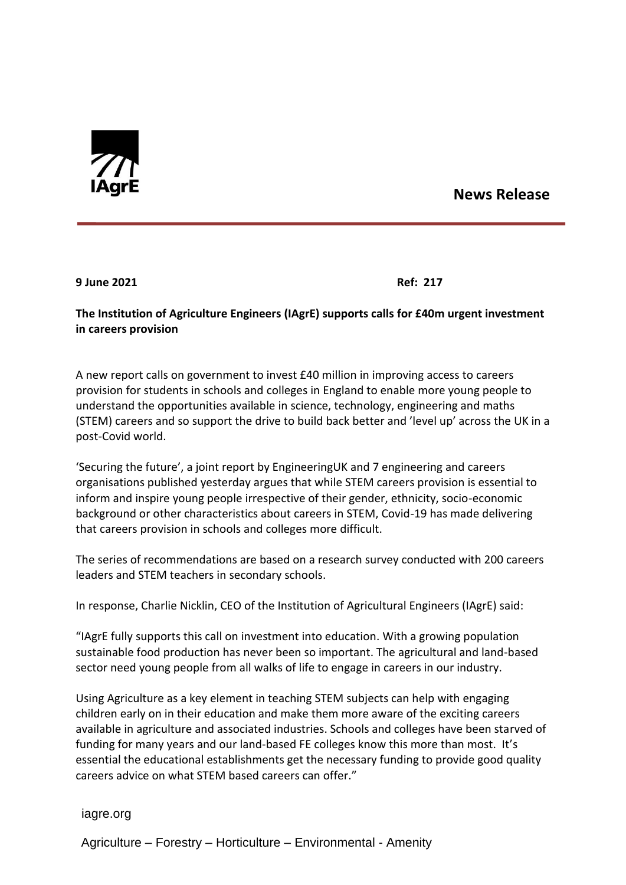

## **News Release**

**9 June 2021 Ref: 217**

## **The Institution of Agriculture Engineers (IAgrE) supports calls for £40m urgent investment in careers provision**

A new report calls on government to invest £40 million in improving access to careers provision for students in schools and colleges in England to enable more young people to understand the opportunities available in science, technology, engineering and maths (STEM) careers and so support the drive to build back better and 'level up' across the UK in a post-Covid world.

'Securing the future', a joint report by EngineeringUK and 7 engineering and careers organisations published yesterday argues that while STEM careers provision is essential to inform and inspire young people irrespective of their gender, ethnicity, socio-economic background or other characteristics about careers in STEM, Covid-19 has made delivering that careers provision in schools and colleges more difficult.

The series of recommendations are based on a research survey conducted with 200 careers leaders and STEM teachers in secondary schools.

In response, Charlie Nicklin, CEO of the Institution of Agricultural Engineers (IAgrE) said:

"IAgrE fully supports this call on investment into education. With a growing population sustainable food production has never been so important. The agricultural and land-based sector need young people from all walks of life to engage in careers in our industry.

Using Agriculture as a key element in teaching STEM subjects can help with engaging children early on in their education and make them more aware of the exciting careers available in agriculture and associated industries. Schools and colleges have been starved of funding for many years and our land-based FE colleges know this more than most. It's essential the educational establishments get the necessary funding to provide good quality careers advice on what STEM based careers can offer."

iagre.org